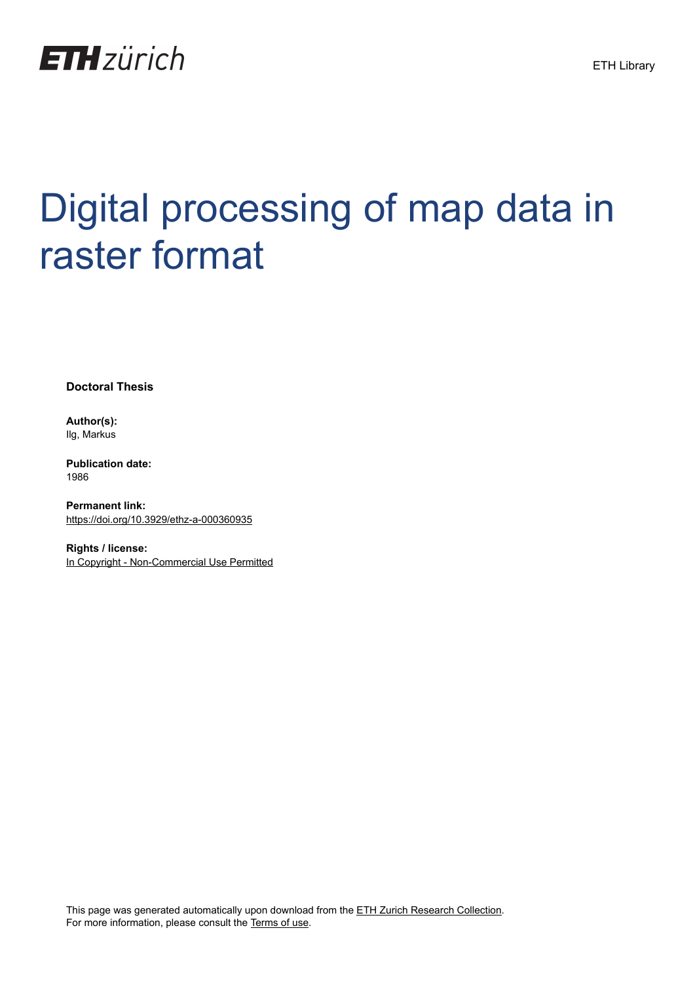

# Digital processing of map data in raster format

**Doctoral Thesis**

**Author(s):** Ilg, Markus

**Publication date:** 1986

**Permanent link:** <https://doi.org/10.3929/ethz-a-000360935>

**Rights / license:** [In Copyright - Non-Commercial Use Permitted](http://rightsstatements.org/page/InC-NC/1.0/)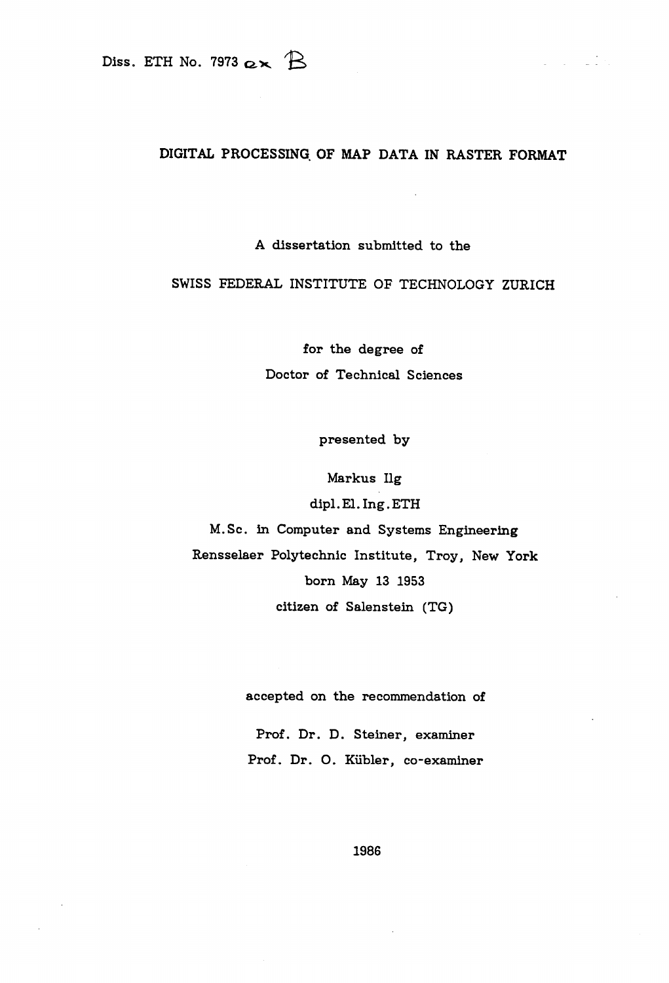## DIGITAL PROCESSING OF MAP DATA IN RASTER FORMAT

 $\label{eq:2} \frac{1}{\pi} \left( \frac{1}{\pi} \right) \left( \frac{1}{\pi} \right) = \frac{1}{\pi} \left( \frac{1}{\pi} \right)$ 

A dissertation submitted to the

## SWISS FEDERAL INSTITUTE OF TECHNOLOGY ZURICH

for the degree of Doctor of Technical Sciences

presented by

Markus Hg

dipl.El.Ing.ETH

M.Sc. in Computer and Systems Engineering

Rensselaer Polytechnic Institute, Troy, New York born May <sup>13</sup> 1953

citizen of Salenstein (TG)

accepted on the recommendation of

Prof. Dr. D. Steiner, examiner Prof. Dr. 0. Kiibler, co-examiner

1986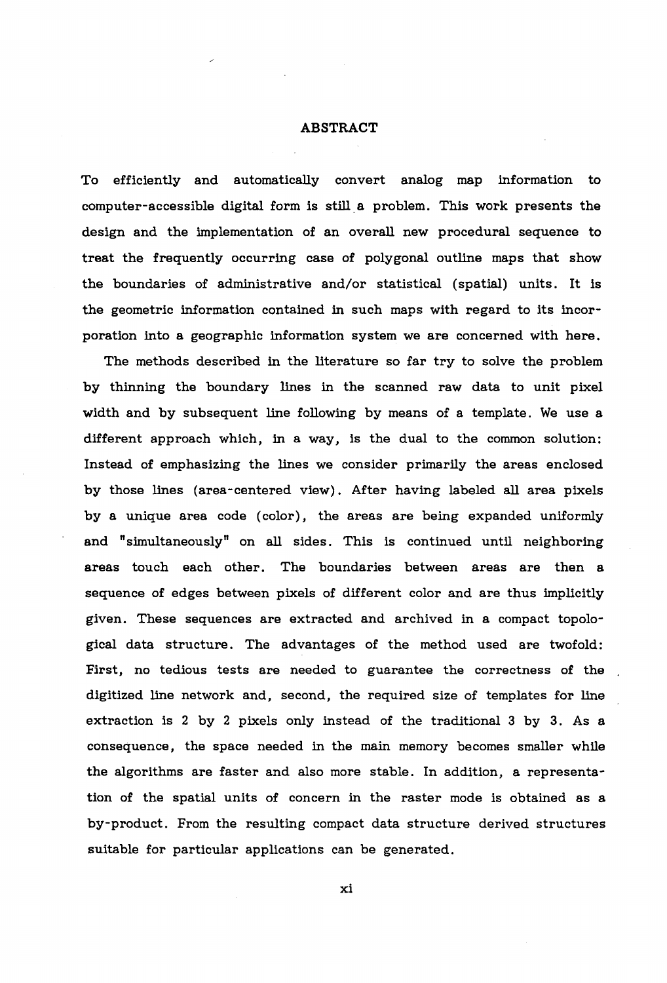#### ABSTRACT

To efficiently and automatically convert analog map information to computer-accessible digital form is still a problem. This work presents the design and the implementation of an overall new procedural sequence to treat the frequently occurring case of polygonal outline maps that show the boundaries of administrative and/or statistical (spatial) units. It is the geometric information contained in such maps with regard to its incorporation into a geographic information system we are concerned with here.

The methods described in the literature so far try to solve the problem by thinning the boundary lines in the scanned raw data to unit pixel width and by subsequent line following by means of <sup>a</sup> template. We use a different approach which, in a way, is the dual to the common solution: Instead of emphasizing the lines we consider primarily the areas enclosed by those lines (area-centered view). After having labeled all area pixels by a unique area code (color), the areas are being expanded uniformly and "simultaneously" on all sides. This is continued until neighboring areas touch each other. The boundaries between areas are then a sequence of edges between pixels of different color and are thus implicitly given. These sequences are extracted and archived in a compact topological data structure. The advantages of the method used are twofold: First, no tedious tests are needed to guarantee the correctness of the digitized line network and, second, the required size of templates for line extraction is <sup>2</sup> by <sup>2</sup> pixels only instead of the traditional <sup>3</sup> by 3. As a consequence, the space needed in the main memory becomes smaller while the algorithms are faster and also more stable. In addition, a representation of the spatial units of concern in the raster mode is obtained as a by-product. From the resulting compact data structure derived structures suitable for particular applications can be generated.

xi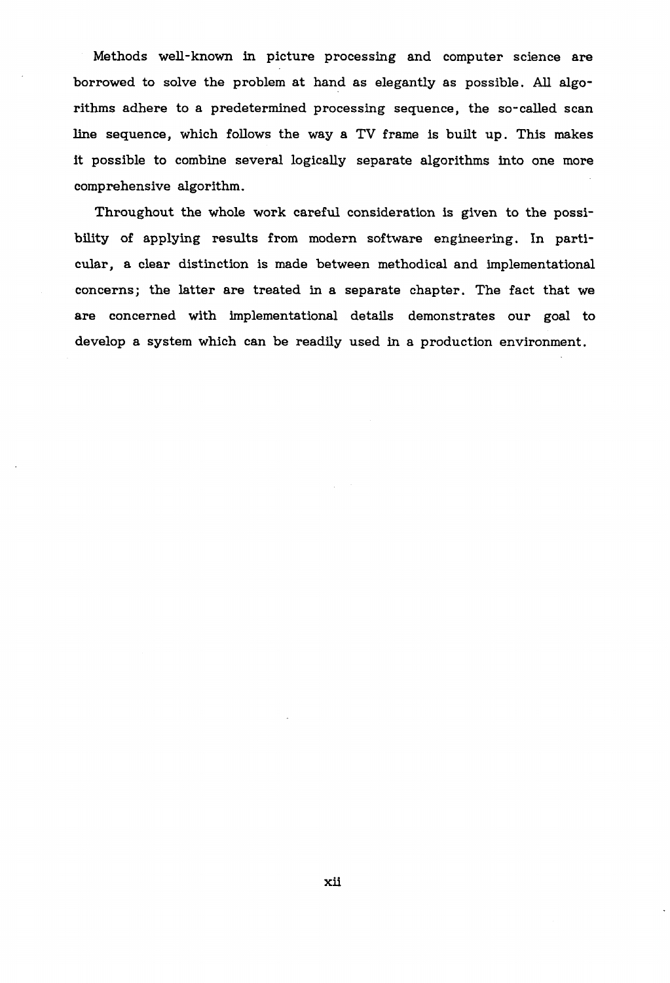Methods well-known in picture processing and computer science are borrowed to solve the problem at hand as elegantly as possible. All algorithms adhere to a predetermined processing sequence, the so-called scan line sequence, which follows the way <sup>a</sup> TV frame is built up. This makes it possible to combine several logically separate algorithms into one more comprehensive algorithm.

Throughout the whole work careful consideration is given to the possibility of applying results from modern software engineering. In particular, a clear distinction is made between methodical and implementational concerns; the latter are treated in a separate chapter. The fact that we are concerned with implementational details demonstrates our goal to develop a system which can be readily used in a production environment.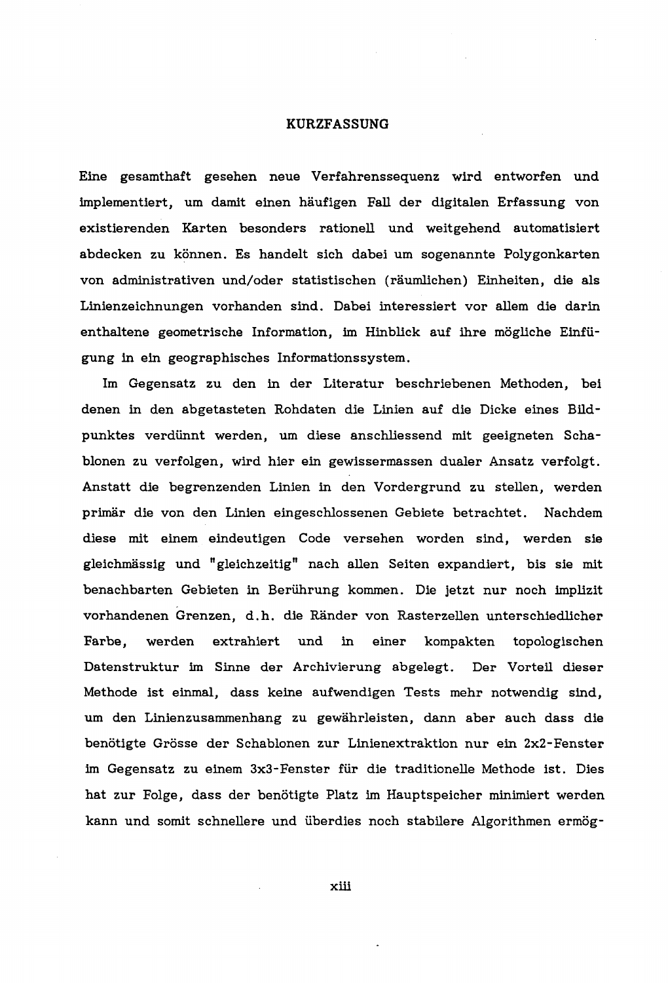#### KURZFASSUNG

Eine gesamthaft gesehen neue Verfahrenssequenz wird entworfen und implementiert, um damit einen haufigen Fall der digitalen Erfas sung von existierenden Karten besonders rationell und weitgehend automatisiert abdecken zu können. Es handelt sich dabei um sogenannte Polygonkarten von administrativen und/oder statistischen (räumlichen) Einheiten, die als Linienzeichnungen vorhanden sind. Dabei interessiert vor allem die darin enthaltene geometrische Information, im Hinblick auf ihre mögliche Einfügung in ein geographisches Informationssystem.

Im Gegensatz zu den in der Literatur beschriebenen Methoden, bei denen in den abgetasteten Rohdaten die Linien auf die Dicke eines Bildpunktes verdiinnt werden, um diese anschliessend mit geeigneten Schablonen zu verfolgen, wird hier ein gewissermassen dualer Ansatz verfolgt. Anstatt die begrenzenden Linien in den Vordergrund zu stellen, werden primar die von den Linien eingeschlossenen Gebiete betrachtet. Nachdem diese mit einem eindeutigen Code versehen worden sind, werden sie gleichmassig und "gleichzeitig" nach alien Seiten expandiert, bis sie mit benachbarten Gebieten in Beriihrung kommen. Die jetzt nur noch implizit vorhandenen Grenzen, d.h. die Rander von Rasterzellen unterschiedlicher Farbe, werden extrahiert und in einer kompakten topologischen Datenstruktur im Sinne der Archivierung abgelegt. Der Vorteil dieser Methode ist einmal, dass keine aufwendigen Tests mehr notwendig sind, um den Linienzusammenhang zu gewahrleisten, dann aber auch dass die benötigte Grösse der Schablonen zur Linienextraktion nur ein 2x2-Fenster im Gegensatz zu einem 3x3-Fenster fiir die traditionelle Methode ist. Dies hat zur Folge, dass der benötigte Platz im Hauptspeicher minimiert werden kann und somit schnellere und überdies noch stabilere Algorithmen ermög-

xiii